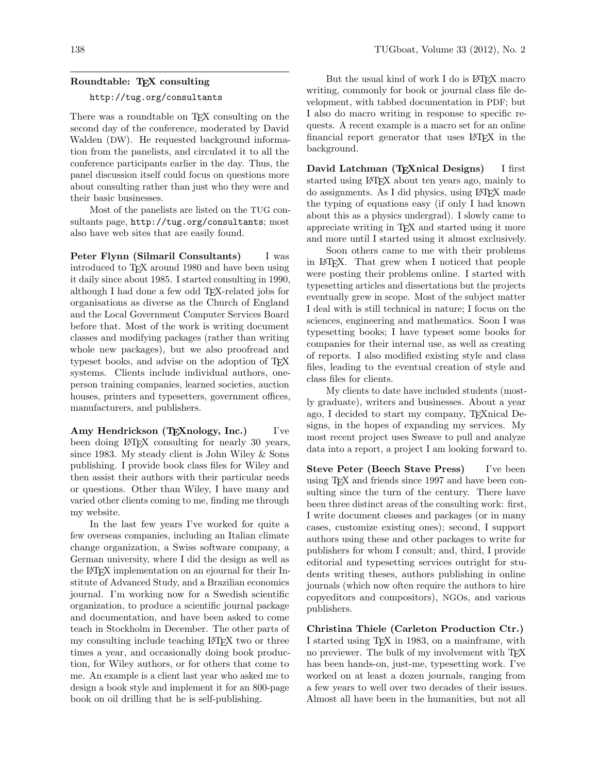## Roundtable: T<sub>F</sub>X consulting

## http://tug.org/consultants

There was a roundtable on T<sub>E</sub>X consulting on the second day of the conference, moderated by David Walden (DW). He requested background information from the panelists, and circulated it to all the conference participants earlier in the day. Thus, the panel discussion itself could focus on questions more about consulting rather than just who they were and their basic businesses.

Most of the panelists are listed on the TUG consultants page, http://tug.org/consultants; most also have web sites that are easily found.

Peter Flynn (Silmaril Consultants) I was introduced to TEX around 1980 and have been using it daily since about 1985. I started consulting in 1990, although I had done a few odd TEX-related jobs for organisations as diverse as the Church of England and the Local Government Computer Services Board before that. Most of the work is writing document classes and modifying packages (rather than writing whole new packages), but we also proofread and typeset books, and advise on the adoption of TEX systems. Clients include individual authors, oneperson training companies, learned societies, auction houses, printers and typesetters, government offices, manufacturers, and publishers.

Amy Hendrickson (T<sub>E</sub>Xnology, Inc.) I've been doing LAT<sub>EX</sub> consulting for nearly 30 years, since 1983. My steady client is John Wiley & Sons publishing. I provide book class files for Wiley and then assist their authors with their particular needs or questions. Other than Wiley, I have many and varied other clients coming to me, finding me through my website.

In the last few years I've worked for quite a few overseas companies, including an Italian climate change organization, a Swiss software company, a German university, where I did the design as well as the LATEX implementation on an ejournal for their Institute of Advanced Study, and a Brazilian economics journal. I'm working now for a Swedish scientific organization, to produce a scientific journal package and documentation, and have been asked to come teach in Stockholm in December. The other parts of my consulting include teaching LAT<sub>EX</sub> two or three times a year, and occasionally doing book production, for Wiley authors, or for others that come to me. An example is a client last year who asked me to design a book style and implement it for an 800-page book on oil drilling that he is self-publishing.

But the usual kind of work I do is LAT<sub>EX</sub> macro writing, commonly for book or journal class file development, with tabbed documentation in PDF; but I also do macro writing in response to specific requests. A recent example is a macro set for an online financial report generator that uses LAT<sub>F</sub>X in the background.

David Latchman (TEXnical Designs) I first started using LATEX about ten years ago, mainly to do assignments. As I did physics, using LATEX made the typing of equations easy (if only I had known about this as a physics undergrad). I slowly came to appreciate writing in TEX and started using it more and more until I started using it almost exclusively.

Soon others came to me with their problems in LATEX. That grew when I noticed that people were posting their problems online. I started with typesetting articles and dissertations but the projects eventually grew in scope. Most of the subject matter I deal with is still technical in nature; I focus on the sciences, engineering and mathematics. Soon I was typesetting books; I have typeset some books for companies for their internal use, as well as creating of reports. I also modified existing style and class files, leading to the eventual creation of style and class files for clients.

My clients to date have included students (mostly graduate), writers and businesses. About a year ago, I decided to start my company, TEXnical Designs, in the hopes of expanding my services. My most recent project uses Sweave to pull and analyze data into a report, a project I am looking forward to.

Steve Peter (Beech Stave Press) I've been using TEX and friends since 1997 and have been consulting since the turn of the century. There have been three distinct areas of the consulting work: first, I write document classes and packages (or in many cases, customize existing ones); second, I support authors using these and other packages to write for publishers for whom I consult; and, third, I provide editorial and typesetting services outright for students writing theses, authors publishing in online journals (which now often require the authors to hire copyeditors and compositors), NGOs, and various publishers.

Christina Thiele (Carleton Production Ctr.) I started using TEX in 1983, on a mainframe, with no previewer. The bulk of my involvement with TEX has been hands-on, just-me, typesetting work. I've worked on at least a dozen journals, ranging from a few years to well over two decades of their issues. Almost all have been in the humanities, but not all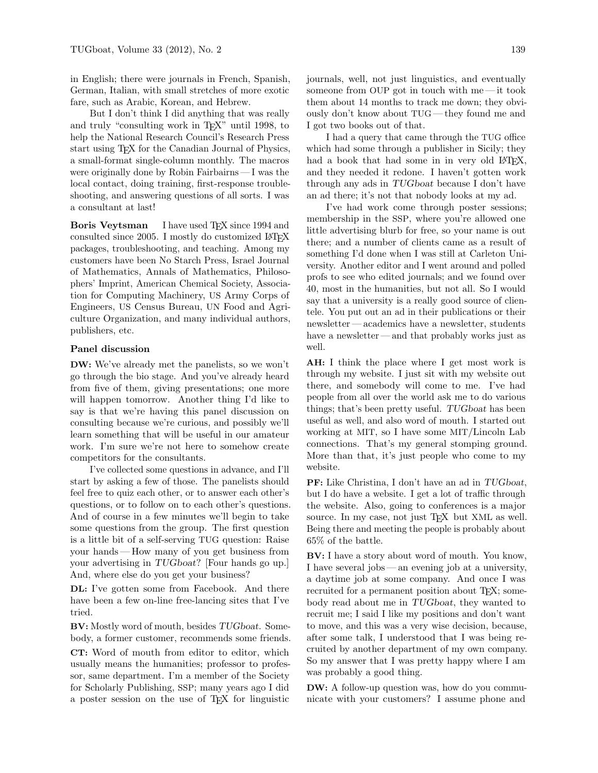in English; there were journals in French, Spanish, German, Italian, with small stretches of more exotic fare, such as Arabic, Korean, and Hebrew.

But I don't think I did anything that was really and truly "consulting work in T<sub>E</sub>X" until 1998, to help the National Research Council's Research Press start using TEX for the Canadian Journal of Physics, a small-format single-column monthly. The macros were originally done by Robin Fairbairns — I was the local contact, doing training, first-response troubleshooting, and answering questions of all sorts. I was a consultant at last!

Boris Veytsman I have used T<sub>F</sub>X since 1994 and consulted since 2005. I mostly do customized LATEX packages, troubleshooting, and teaching. Among my customers have been No Starch Press, Israel Journal of Mathematics, Annals of Mathematics, Philosophers' Imprint, American Chemical Society, Association for Computing Machinery, US Army Corps of Engineers, US Census Bureau, UN Food and Agriculture Organization, and many individual authors, publishers, etc.

## Panel discussion

DW: We've already met the panelists, so we won't go through the bio stage. And you've already heard from five of them, giving presentations; one more will happen tomorrow. Another thing I'd like to say is that we're having this panel discussion on consulting because we're curious, and possibly we'll learn something that will be useful in our amateur work. I'm sure we're not here to somehow create competitors for the consultants.

I've collected some questions in advance, and I'll start by asking a few of those. The panelists should feel free to quiz each other, or to answer each other's questions, or to follow on to each other's questions. And of course in a few minutes we'll begin to take some questions from the group. The first question is a little bit of a self-serving TUG question: Raise your hands— How many of you get business from your advertising in TUGboat? [Four hands go up.] And, where else do you get your business?

DL: I've gotten some from Facebook. And there have been a few on-line free-lancing sites that I've tried.

BV: Mostly word of mouth, besides TUGboat. Somebody, a former customer, recommends some friends.

CT: Word of mouth from editor to editor, which usually means the humanities; professor to professor, same department. I'm a member of the Society for Scholarly Publishing, SSP; many years ago I did a poster session on the use of TEX for linguistic

journals, well, not just linguistics, and eventually someone from OUP got in touch with me— it took them about 14 months to track me down; they obviously don't know about TUG — they found me and I got two books out of that.

I had a query that came through the TUG office which had some through a publisher in Sicily; they had a book that had some in in very old LATEX, and they needed it redone. I haven't gotten work through any ads in TUGboat because I don't have an ad there; it's not that nobody looks at my ad.

I've had work come through poster sessions; membership in the SSP, where you're allowed one little advertising blurb for free, so your name is out there; and a number of clients came as a result of something I'd done when I was still at Carleton University. Another editor and I went around and polled profs to see who edited journals; and we found over 40, most in the humanities, but not all. So I would say that a university is a really good source of clientele. You put out an ad in their publications or their newsletter— academics have a newsletter, students have a newsletter — and that probably works just as well.

AH: I think the place where I get most work is through my website. I just sit with my website out there, and somebody will come to me. I've had people from all over the world ask me to do various things; that's been pretty useful. TUGboat has been useful as well, and also word of mouth. I started out working at MIT, so I have some MIT/Lincoln Lab connections. That's my general stomping ground. More than that, it's just people who come to my website.

PF: Like Christina, I don't have an ad in TUGboat, but I do have a website. I get a lot of traffic through the website. Also, going to conferences is a major source. In my case, not just TFX but XML as well. Being there and meeting the people is probably about 65% of the battle.

BV: I have a story about word of mouth. You know, I have several jobs — an evening job at a university, a daytime job at some company. And once I was recruited for a permanent position about T<sub>EX</sub>; somebody read about me in TUGboat, they wanted to recruit me; I said I like my positions and don't want to move, and this was a very wise decision, because, after some talk, I understood that I was being recruited by another department of my own company. So my answer that I was pretty happy where I am was probably a good thing.

DW: A follow-up question was, how do you communicate with your customers? I assume phone and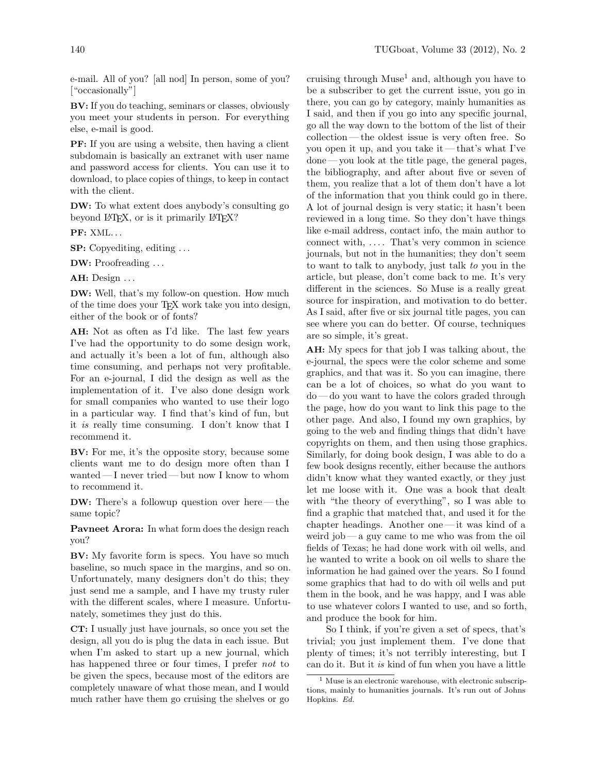e-mail. All of you? [all nod] In person, some of you? ["occasionally"]

BV: If you do teaching, seminars or classes, obviously you meet your students in person. For everything else, e-mail is good.

PF: If you are using a website, then having a client subdomain is basically an extranet with user name and password access for clients. You can use it to download, to place copies of things, to keep in contact with the client.

DW: To what extent does anybody's consulting go beyond LATEX, or is it primarily LATEX?

PF: XML. . .

SP: Copyediting, editing . . .

DW: Proofreading ...

AH: Design ...

DW: Well, that's my follow-on question. How much of the time does your TEX work take you into design, either of the book or of fonts?

AH: Not as often as I'd like. The last few years I've had the opportunity to do some design work, and actually it's been a lot of fun, although also time consuming, and perhaps not very profitable. For an e-journal, I did the design as well as the implementation of it. I've also done design work for small companies who wanted to use their logo in a particular way. I find that's kind of fun, but it is really time consuming. I don't know that I recommend it.

BV: For me, it's the opposite story, because some clients want me to do design more often than I wanted— I never tried— but now I know to whom to recommend it.

DW: There's a followup question over here— the same topic?

Pavneet Arora: In what form does the design reach you?

BV: My favorite form is specs. You have so much baseline, so much space in the margins, and so on. Unfortunately, many designers don't do this; they just send me a sample, and I have my trusty ruler with the different scales, where I measure. Unfortunately, sometimes they just do this.

CT: I usually just have journals, so once you set the design, all you do is plug the data in each issue. But when I'm asked to start up a new journal, which has happened three or four times, I prefer not to be given the specs, because most of the editors are completely unaware of what those mean, and I would much rather have them go cruising the shelves or go

cruising through  $Muse<sup>1</sup>$  and, although you have to be a subscriber to get the current issue, you go in there, you can go by category, mainly humanities as I said, and then if you go into any specific journal, go all the way down to the bottom of the list of their collection— the oldest issue is very often free. So you open it up, and you take it— that's what I've done — you look at the title page, the general pages, the bibliography, and after about five or seven of them, you realize that a lot of them don't have a lot of the information that you think could go in there. A lot of journal design is very static; it hasn't been reviewed in a long time. So they don't have things like e-mail address, contact info, the main author to connect with, .... That's very common in science journals, but not in the humanities; they don't seem to want to talk to anybody, just talk to you in the article, but please, don't come back to me. It's very different in the sciences. So Muse is a really great source for inspiration, and motivation to do better. As I said, after five or six journal title pages, you can see where you can do better. Of course, techniques are so simple, it's great.

AH: My specs for that job I was talking about, the e-journal, the specs were the color scheme and some graphics, and that was it. So you can imagine, there can be a lot of choices, so what do you want to do — do you want to have the colors graded through the page, how do you want to link this page to the other page. And also, I found my own graphics, by going to the web and finding things that didn't have copyrights on them, and then using those graphics. Similarly, for doing book design, I was able to do a few book designs recently, either because the authors didn't know what they wanted exactly, or they just let me loose with it. One was a book that dealt with "the theory of everything", so I was able to find a graphic that matched that, and used it for the chapter headings. Another one— it was kind of a weird job — a guy came to me who was from the oil fields of Texas; he had done work with oil wells, and he wanted to write a book on oil wells to share the information he had gained over the years. So I found some graphics that had to do with oil wells and put them in the book, and he was happy, and I was able to use whatever colors I wanted to use, and so forth, and produce the book for him.

So I think, if you're given a set of specs, that's trivial; you just implement them. I've done that plenty of times; it's not terribly interesting, but I can do it. But it is kind of fun when you have a little

<sup>1</sup> Muse is an electronic warehouse, with electronic subscriptions, mainly to humanities journals. It's run out of Johns Hopkins. Ed.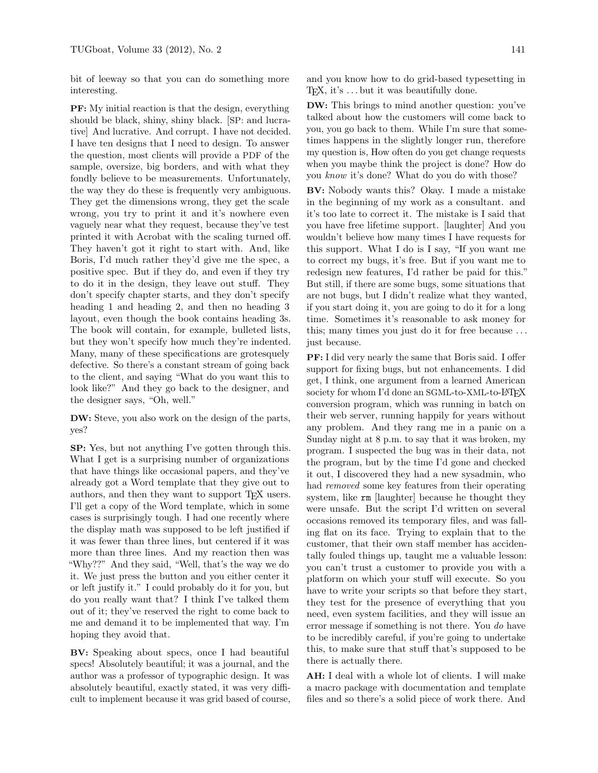bit of leeway so that you can do something more interesting.

PF: My initial reaction is that the design, everything should be black, shiny, shiny black. [SP: and lucrative] And lucrative. And corrupt. I have not decided. I have ten designs that I need to design. To answer the question, most clients will provide a PDF of the sample, oversize, big borders, and with what they fondly believe to be measurements. Unfortunately, the way they do these is frequently very ambiguous. They get the dimensions wrong, they get the scale wrong, you try to print it and it's nowhere even vaguely near what they request, because they've test printed it with Acrobat with the scaling turned off. They haven't got it right to start with. And, like Boris, I'd much rather they'd give me the spec, a positive spec. But if they do, and even if they try to do it in the design, they leave out stuff. They don't specify chapter starts, and they don't specify heading 1 and heading 2, and then no heading 3 layout, even though the book contains heading 3s. The book will contain, for example, bulleted lists, but they won't specify how much they're indented. Many, many of these specifications are grotesquely defective. So there's a constant stream of going back to the client, and saying "What do you want this to look like?" And they go back to the designer, and the designer says, "Oh, well."

DW: Steve, you also work on the design of the parts, yes?

SP: Yes, but not anything I've gotten through this. What I get is a surprising number of organizations that have things like occasional papers, and they've already got a Word template that they give out to authors, and then they want to support TEX users. I'll get a copy of the Word template, which in some cases is surprisingly tough. I had one recently where the display math was supposed to be left justified if it was fewer than three lines, but centered if it was more than three lines. And my reaction then was "Why??" And they said, "Well, that's the way we do it. We just press the button and you either center it or left justify it." I could probably do it for you, but do you really want that? I think I've talked them out of it; they've reserved the right to come back to me and demand it to be implemented that way. I'm hoping they avoid that.

BV: Speaking about specs, once I had beautiful specs! Absolutely beautiful; it was a journal, and the author was a professor of typographic design. It was absolutely beautiful, exactly stated, it was very difficult to implement because it was grid based of course,

and you know how to do grid-based typesetting in TEX, it's . . . but it was beautifully done.

DW: This brings to mind another question: you've talked about how the customers will come back to you, you go back to them. While I'm sure that sometimes happens in the slightly longer run, therefore my question is, How often do you get change requests when you maybe think the project is done? How do you know it's done? What do you do with those?

BV: Nobody wants this? Okay. I made a mistake in the beginning of my work as a consultant. and it's too late to correct it. The mistake is I said that you have free lifetime support. [laughter] And you wouldn't believe how many times I have requests for this support. What I do is I say, "If you want me to correct my bugs, it's free. But if you want me to redesign new features, I'd rather be paid for this." But still, if there are some bugs, some situations that are not bugs, but I didn't realize what they wanted, if you start doing it, you are going to do it for a long time. Sometimes it's reasonable to ask money for this; many times you just do it for free because . . . just because.

PF: I did very nearly the same that Boris said. I offer support for fixing bugs, but not enhancements. I did get, I think, one argument from a learned American society for whom I'd done an SGML-to-XML-to-LATEX conversion program, which was running in batch on their web server, running happily for years without any problem. And they rang me in a panic on a Sunday night at 8 p.m. to say that it was broken, my program. I suspected the bug was in their data, not the program, but by the time I'd gone and checked it out, I discovered they had a new sysadmin, who had removed some key features from their operating system, like rm [laughter] because he thought they were unsafe. But the script I'd written on several occasions removed its temporary files, and was falling flat on its face. Trying to explain that to the customer, that their own staff member has accidentally fouled things up, taught me a valuable lesson: you can't trust a customer to provide you with a platform on which your stuff will execute. So you have to write your scripts so that before they start, they test for the presence of everything that you need, even system facilities, and they will issue an error message if something is not there. You do have to be incredibly careful, if you're going to undertake this, to make sure that stuff that's supposed to be there is actually there.

AH: I deal with a whole lot of clients. I will make a macro package with documentation and template files and so there's a solid piece of work there. And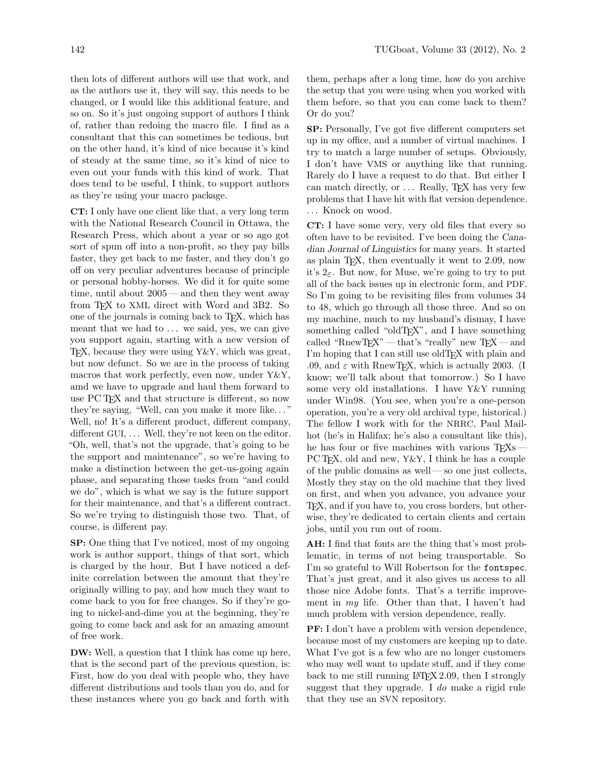then lots of different authors will use that work, and as the authors use it, they will say, this needs to be changed, or I would like this additional feature, and so on. So it's just ongoing support of authors I think of, rather than redoing the macro file. I find as a consultant that this can sometimes be tedious, but on the other hand, it's kind of nice because it's kind of steady at the same time, so it's kind of nice to even out your funds with this kind of work. That does tend to be useful, I think, to support authors as they're using your macro package.

CT: I only have one client like that, a very long term with the National Research Council in Ottawa, the Research Press, which about a year or so ago got sort of spun off into a non-profit, so they pay bills faster, they get back to me faster, and they don't go off on very peculiar adventures because of principle or personal hobby-horses. We did it for quite some time, until about 2005— and then they went away from T<sub>E</sub>X to XML direct with Word and 3B2. So one of the journals is coming back to TEX, which has meant that we had to ... we said, yes, we can give you support again, starting with a new version of TEX, because they were using Y&Y, which was great, but now defunct. So we are in the process of taking macros that work perfectly, even now, under Y&Y, amd we have to upgrade and haul them forward to use PC TEX and that structure is different, so now they're saying, "Well, can you make it more like. . . " Well, no! It's a different product, different company, different GUI,  $\dots$  Well, they're not keen on the editor. "Oh, well, that's not the upgrade, that's going to be the support and maintenance", so we're having to make a distinction between the get-us-going again phase, and separating those tasks from "and could we do", which is what we say is the future support for their maintenance, and that's a different contract. So we're trying to distinguish those two. That, of course, is different pay.

SP: One thing that I've noticed, most of my ongoing work is author support, things of that sort, which is charged by the hour. But I have noticed a definite correlation between the amount that they're originally willing to pay, and how much they want to come back to you for free changes. So if they're going to nickel-and-dime you at the beginning, they're going to come back and ask for an amazing amount of free work.

DW: Well, a question that I think has come up here, that is the second part of the previous question, is: First, how do you deal with people who, they have different distributions and tools than you do, and for these instances where you go back and forth with

them, perhaps after a long time, how do you archive the setup that you were using when you worked with them before, so that you can come back to them? Or do you?

SP: Personally, I've got five different computers set up in my office, and a number of virtual machines. I try to match a large number of setups. Obviously, I don't have VMS or anything like that running. Rarely do I have a request to do that. But either I can match directly, or ... Really, TEX has very few problems that I have hit with flat version dependence. . . . Knock on wood.

CT: I have some very, very old files that every so often have to be revisited. I've been doing the Canadian Journal of Linguistics for many years. It started as plain T<sub>E</sub>X, then eventually it went to 2.09, now it's  $2\varepsilon$ . But now, for Muse, we're going to try to put all of the back issues up in electronic form, and PDF. So I'm going to be revisiting files from volumes 34 to 48, which go through all those three. And so on my machine, much to my husband's dismay, I have something called "oldT<sub>E</sub>X", and I have something called "RnewTEX" — that's "really" new TEX — and I'm hoping that I can still use oldT<sub>E</sub>X with plain and .09, and  $\varepsilon$  with RnewTFX, which is actually 2003. (I know; we'll talk about that tomorrow.) So I have some very old installations. I have Y&Y running under Win98. (You see, when you're a one-person operation, you're a very old archival type, historical.) The fellow I work with for the NRRC, Paul Mailhot (he's in Halifax; he's also a consultant like this), he has four or five machines with various T<sub>E</sub>X<sub>S</sub>-PC T<sub>EX</sub>, old and new, Y&Y, I think he has a couple of the public domains as well— so one just collects, Mostly they stay on the old machine that they lived on first, and when you advance, you advance your TEX, and if you have to, you cross borders, but otherwise, they're dedicated to certain clients and certain jobs, until you run out of room.

AH: I find that fonts are the thing that's most problematic, in terms of not being transportable. So I'm so grateful to Will Robertson for the fontspec. That's just great, and it also gives us access to all those nice Adobe fonts. That's a terrific improvement in my life. Other than that, I haven't had much problem with version dependence, really.

PF: I don't have a problem with version dependence, because most of my customers are keeping up to date. What I've got is a few who are no longer customers who may well want to update stuff, and if they come back to me still running LATEX 2.09, then I strongly suggest that they upgrade. I do make a rigid rule that they use an SVN repository.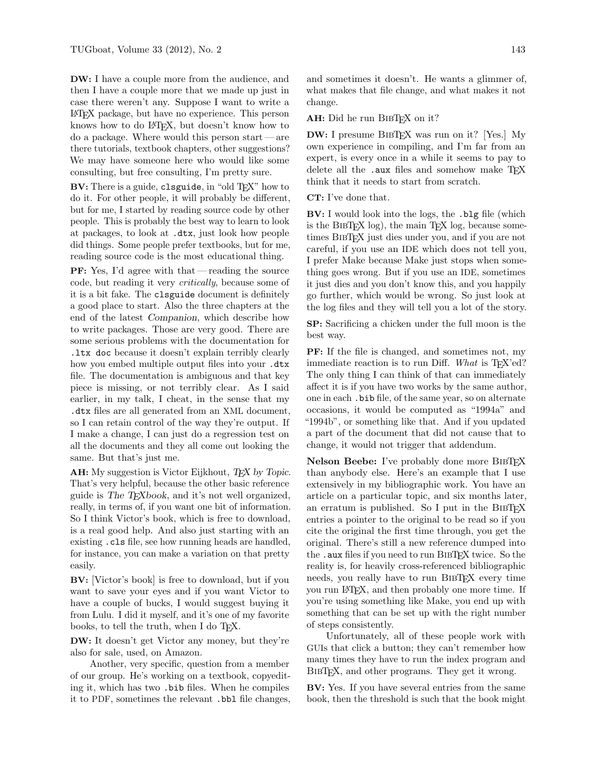DW: I have a couple more from the audience, and then I have a couple more that we made up just in case there weren't any. Suppose I want to write a LATEX package, but have no experience. This person knows how to do LAT<sub>EX</sub>, but doesn't know how to do a package. Where would this person start— are there tutorials, textbook chapters, other suggestions? We may have someone here who would like some consulting, but free consulting, I'm pretty sure.

BV: There is a guide, clsguide, in "old TFX" how to do it. For other people, it will probably be different, but for me, I started by reading source code by other people. This is probably the best way to learn to look at packages, to look at .dtx, just look how people did things. Some people prefer textbooks, but for me, reading source code is the most educational thing.

PF: Yes, I'd agree with that— reading the source code, but reading it very critically, because some of it is a bit fake. The clsguide document is definitely a good place to start. Also the three chapters at the end of the latest Companion, which describe how to write packages. Those are very good. There are some serious problems with the documentation for

.ltx doc because it doesn't explain terribly clearly how you embed multiple output files into your .dtx file. The documentation is ambiguous and that key piece is missing, or not terribly clear. As I said earlier, in my talk, I cheat, in the sense that my .dtx files are all generated from an XML document, so I can retain control of the way they're output. If I make a change, I can just do a regression test on all the documents and they all come out looking the same. But that's just me.

AH: My suggestion is Victor Eijkhout, TEX by Topic. That's very helpful, because the other basic reference guide is The TEXbook, and it's not well organized, really, in terms of, if you want one bit of information. So I think Victor's book, which is free to download, is a real good help. And also just starting with an existing .cls file, see how running heads are handled, for instance, you can make a variation on that pretty easily.

BV: [Victor's book] is free to download, but if you want to save your eyes and if you want Victor to have a couple of bucks, I would suggest buying it from Lulu. I did it myself, and it's one of my favorite books, to tell the truth, when I do TEX.

DW: It doesn't get Victor any money, but they're also for sale, used, on Amazon.

Another, very specific, question from a member of our group. He's working on a textbook, copyediting it, which has two .bib files. When he compiles it to PDF, sometimes the relevant .bbl file changes,

and sometimes it doesn't. He wants a glimmer of, what makes that file change, and what makes it not change.

## AH: Did he run BIBTFX on it?

DW: I presume BIBTEX was run on it? [Yes.] My own experience in compiling, and I'm far from an expert, is every once in a while it seems to pay to delete all the .aux files and somehow make T<sub>F</sub>X think that it needs to start from scratch.

CT: I've done that.

BV: I would look into the logs, the .blg file (which is the BibTEX log), the main TEX log, because sometimes BibTEX just dies under you, and if you are not careful, if you use an IDE which does not tell you, I prefer Make because Make just stops when something goes wrong. But if you use an IDE, sometimes it just dies and you don't know this, and you happily go further, which would be wrong. So just look at the log files and they will tell you a lot of the story.

SP: Sacrificing a chicken under the full moon is the best way.

PF: If the file is changed, and sometimes not, my immediate reaction is to run Diff. What is T<sub>E</sub>X'ed? The only thing I can think of that can immediately affect it is if you have two works by the same author, one in each .bib file, of the same year, so on alternate occasions, it would be computed as "1994a" and "1994b", or something like that. And if you updated a part of the document that did not cause that to change, it would not trigger that addendum.

Nelson Beebe: I've probably done more BIBTFX than anybody else. Here's an example that I use extensively in my bibliographic work. You have an article on a particular topic, and six months later, an erratum is published. So I put in the BIBTEX entries a pointer to the original to be read so if you cite the original the first time through, you get the original. There's still a new reference dumped into the . aux files if you need to run BIBTEX twice. So the reality is, for heavily cross-referenced bibliographic needs, you really have to run BibTEX every time you run LATEX, and then probably one more time. If you're using something like Make, you end up with something that can be set up with the right number of steps consistently.

Unfortunately, all of these people work with GUIs that click a button; they can't remember how many times they have to run the index program and BIBTEX, and other programs. They get it wrong.

BV: Yes. If you have several entries from the same book, then the threshold is such that the book might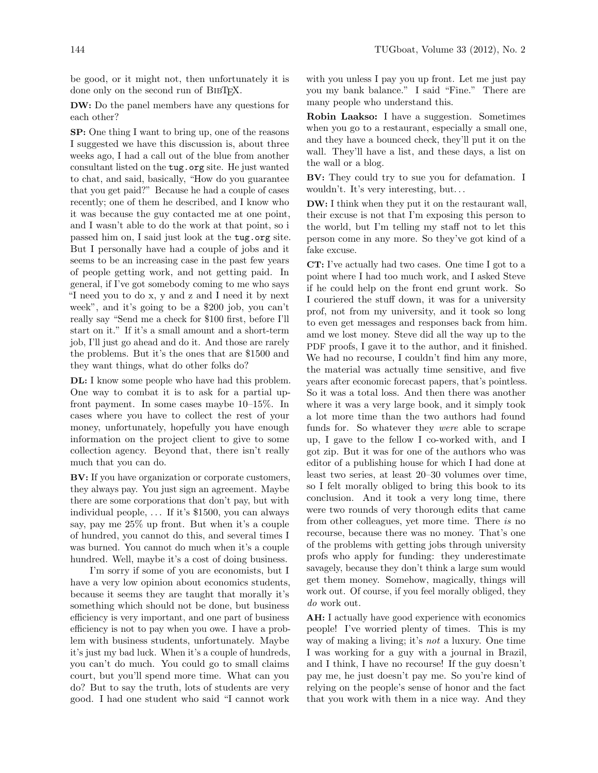be good, or it might not, then unfortunately it is done only on the second run of BIBT<sub>EX</sub>.

DW: Do the panel members have any questions for each other?

SP: One thing I want to bring up, one of the reasons I suggested we have this discussion is, about three weeks ago, I had a call out of the blue from another consultant listed on the tug.org site. He just wanted to chat, and said, basically, "How do you guarantee that you get paid?" Because he had a couple of cases recently; one of them he described, and I know who it was because the guy contacted me at one point, and I wasn't able to do the work at that point, so i passed him on, I said just look at the tug.org site. But I personally have had a couple of jobs and it seems to be an increasing case in the past few years of people getting work, and not getting paid. In general, if I've got somebody coming to me who says "I need you to do x, y and z and I need it by next week", and it's going to be a \$200 job, you can't really say "Send me a check for \$100 first, before I'll start on it." If it's a small amount and a short-term job, I'll just go ahead and do it. And those are rarely the problems. But it's the ones that are \$1500 and they want things, what do other folks do?

DL: I know some people who have had this problem. One way to combat it is to ask for a partial upfront payment. In some cases maybe 10–15%. In cases where you have to collect the rest of your money, unfortunately, hopefully you have enough information on the project client to give to some collection agency. Beyond that, there isn't really much that you can do.

BV: If you have organization or corporate customers, they always pay. You just sign an agreement. Maybe there are some corporations that don't pay, but with individual people, . . . If it's \$1500, you can always say, pay me 25% up front. But when it's a couple of hundred, you cannot do this, and several times I was burned. You cannot do much when it's a couple hundred. Well, maybe it's a cost of doing business.

I'm sorry if some of you are economists, but I have a very low opinion about economics students, because it seems they are taught that morally it's something which should not be done, but business efficiency is very important, and one part of business efficiency is not to pay when you owe. I have a problem with business students, unfortunately. Maybe it's just my bad luck. When it's a couple of hundreds, you can't do much. You could go to small claims court, but you'll spend more time. What can you do? But to say the truth, lots of students are very good. I had one student who said "I cannot work with you unless I pay you up front. Let me just pay you my bank balance." I said "Fine." There are many people who understand this.

Robin Laakso: I have a suggestion. Sometimes when you go to a restaurant, especially a small one, and they have a bounced check, they'll put it on the wall. They'll have a list, and these days, a list on the wall or a blog.

BV: They could try to sue you for defamation. I wouldn't. It's very interesting, but. . .

DW: I think when they put it on the restaurant wall, their excuse is not that I'm exposing this person to the world, but I'm telling my staff not to let this person come in any more. So they've got kind of a fake excuse.

CT: I've actually had two cases. One time I got to a point where I had too much work, and I asked Steve if he could help on the front end grunt work. So I couriered the stuff down, it was for a university prof, not from my university, and it took so long to even get messages and responses back from him. amd we lost money. Steve did all the way up to the PDF proofs, I gave it to the author, and it finished. We had no recourse, I couldn't find him any more, the material was actually time sensitive, and five years after economic forecast papers, that's pointless. So it was a total loss. And then there was another where it was a very large book, and it simply took a lot more time than the two authors had found funds for. So whatever they were able to scrape up, I gave to the fellow I co-worked with, and I got zip. But it was for one of the authors who was editor of a publishing house for which I had done at least two series, at least 20–30 volumes over time, so I felt morally obliged to bring this book to its conclusion. And it took a very long time, there were two rounds of very thorough edits that came from other colleagues, yet more time. There is no recourse, because there was no money. That's one of the problems with getting jobs through university profs who apply for funding: they underestimate savagely, because they don't think a large sum would get them money. Somehow, magically, things will work out. Of course, if you feel morally obliged, they do work out.

AH: I actually have good experience with economics people! I've worried plenty of times. This is my way of making a living; it's not a luxury. One time I was working for a guy with a journal in Brazil, and I think, I have no recourse! If the guy doesn't pay me, he just doesn't pay me. So you're kind of relying on the people's sense of honor and the fact that you work with them in a nice way. And they